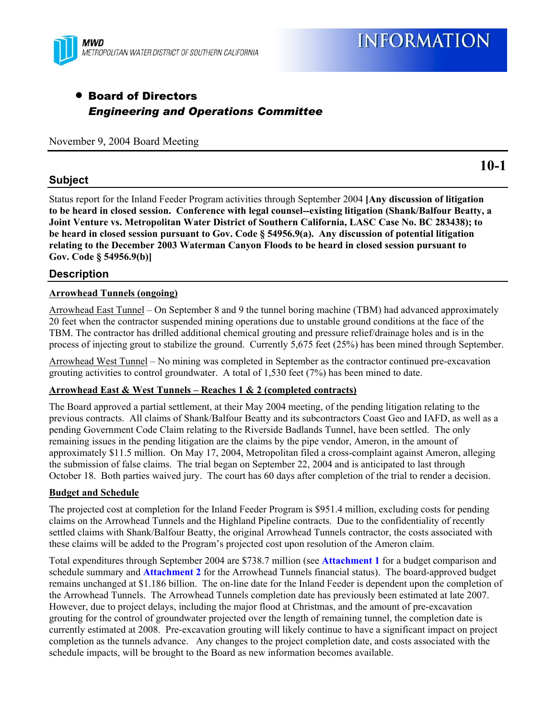

# • Board of Directors *Engineering and Operations Committee*

November 9, 2004 Board Meeting

# **Subject**

Status report for the Inland Feeder Program activities through September 2004 **[Any discussion of litigation to be heard in closed session. Conference with legal counsel--existing litigation (Shank/Balfour Beatty, a Joint Venture vs. Metropolitan Water District of Southern California, LASC Case No. BC 283438); to be heard in closed session pursuant to Gov. Code § 54956.9(a). Any discussion of potential litigation relating to the December 2003 Waterman Canyon Floods to be heard in closed session pursuant to Gov. Code § 54956.9(b)]**

# **Description**

## **Arrowhead Tunnels (ongoing)**

Arrowhead East Tunnel – On September 8 and 9 the tunnel boring machine (TBM) had advanced approximately 20 feet when the contractor suspended mining operations due to unstable ground conditions at the face of the TBM. The contractor has drilled additional chemical grouting and pressure relief/drainage holes and is in the process of injecting grout to stabilize the ground. Currently 5,675 feet (25%) has been mined through September.

Arrowhead West Tunnel – No mining was completed in September as the contractor continued pre-excavation grouting activities to control groundwater. A total of 1,530 feet (7%) has been mined to date.

#### **Arrowhead East & West Tunnels – Reaches 1 & 2 (completed contracts)**

The Board approved a partial settlement, at their May 2004 meeting, of the pending litigation relating to the previous contracts. All claims of Shank/Balfour Beatty and its subcontractors Coast Geo and IAFD, as well as a pending Government Code Claim relating to the Riverside Badlands Tunnel, have been settled. The only remaining issues in the pending litigation are the claims by the pipe vendor, Ameron, in the amount of approximately \$11.5 million. On May 17, 2004, Metropolitan filed a cross-complaint against Ameron, alleging the submission of false claims. The trial began on September 22, 2004 and is anticipated to last through October 18. Both parties waived jury. The court has 60 days after completion of the trial to render a decision.

## **Budget and Schedule**

The projected cost at completion for the Inland Feeder Program is \$951.4 million, excluding costs for pending claims on the Arrowhead Tunnels and the Highland Pipeline contracts. Due to the confidentiality of recently settled claims with Shank/Balfour Beatty, the original Arrowhead Tunnels contractor, the costs associated with these claims will be added to the Program's projected cost upon resolution of the Ameron claim.

Total expenditures through September 2004 are \$738.7 million (see **Attachment 1** for a budget comparison and schedule summary and **Attachment 2** for the Arrowhead Tunnels financial status). The board-approved budget remains unchanged at \$1.186 billion. The on-line date for the Inland Feeder is dependent upon the completion of the Arrowhead Tunnels. The Arrowhead Tunnels completion date has previously been estimated at late 2007. However, due to project delays, including the major flood at Christmas, and the amount of pre-excavation grouting for the control of groundwater projected over the length of remaining tunnel, the completion date is currently estimated at 2008. Pre-excavation grouting will likely continue to have a significant impact on project completion as the tunnels advance. Any changes to the project completion date, and costs associated with the schedule impacts, will be brought to the Board as new information becomes available.

**10-1**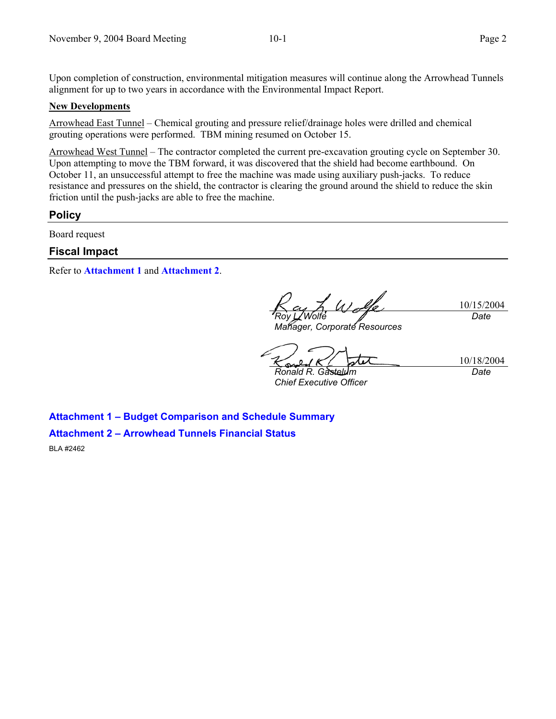Upon completion of construction, environmental mitigation measures will continue along the Arrowhead Tunnels alignment for up to two years in accordance with the Environmental Impact Report.

#### **New Developments**

Arrowhead East Tunnel – Chemical grouting and pressure relief/drainage holes were drilled and chemical grouting operations were performed. TBM mining resumed on October 15.

Arrowhead West Tunnel – The contractor completed the current pre-excavation grouting cycle on September 30. Upon attempting to move the TBM forward, it was discovered that the shield had become earthbound. On October 11, an unsuccessful attempt to free the machine was made using auxiliary push-jacks. To reduce resistance and pressures on the shield, the contractor is clearing the ground around the shield to reduce the skin friction until the push-jacks are able to free the machine.

#### **Policy**

Board request

#### **Fiscal Impact**

Refer to **Attachment 1** and **Attachment 2**.

10/15/2004 *Roy L. Wolfe Date* 

*Manager, Corporate Resources* 

10/18/2004

*Ronald R. Gàs Chief Executive Officer*  *Date* 

**Attachment 1 – Budget Comparison and Schedule Summary Attachment 2 – Arrowhead Tunnels Financial Status** 

BLA #2462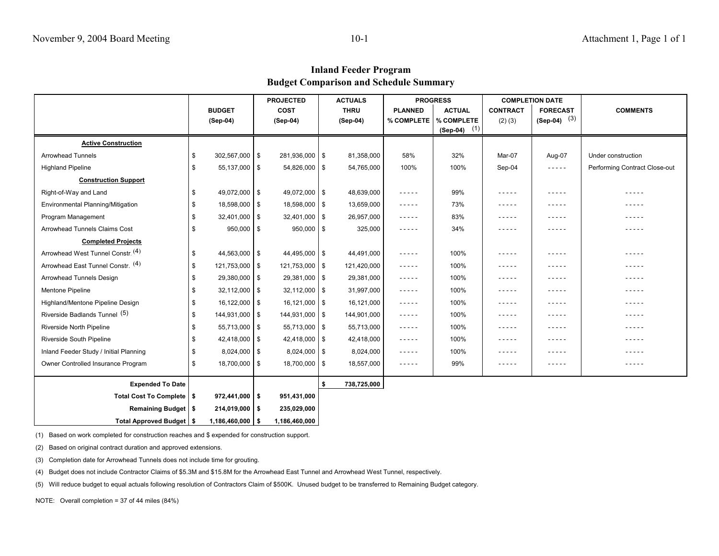## **Inland Feeder Program Budget Comparison and Schedule Summary**

|                                        |                       | <b>PROJECTED</b>  |    | <b>ACTUALS</b> |                                                                                                                                       | <b>PROGRESS</b> | <b>COMPLETION DATE</b> |                 |                               |
|----------------------------------------|-----------------------|-------------------|----|----------------|---------------------------------------------------------------------------------------------------------------------------------------|-----------------|------------------------|-----------------|-------------------------------|
|                                        | <b>BUDGET</b>         | <b>COST</b>       |    | <b>THRU</b>    | <b>PLANNED</b>                                                                                                                        | <b>ACTUAL</b>   | <b>CONTRACT</b>        | <b>FORECAST</b> | <b>COMMENTS</b>               |
|                                        | (Sep-04)              | (Sep-04)          |    | (Sep-04)       | % COMPLETE                                                                                                                            | % COMPLETE      | $(2)$ $(3)$            | $(Sep-04)$ (3)  |                               |
|                                        |                       |                   |    |                |                                                                                                                                       | $(Sep-04)$ (1)  |                        |                 |                               |
| <b>Active Construction</b>             |                       |                   |    |                |                                                                                                                                       |                 |                        |                 |                               |
| <b>Arrowhead Tunnels</b>               | 302,567,000 \$<br>\$  | 281,936,000 \$    |    | 81,358,000     | 58%                                                                                                                                   | 32%             | Mar-07                 | Aug-07          | Under construction            |
| <b>Highland Pipeline</b>               | 55,137,000 \$<br>\$   | $54,826,000$ \ \$ |    | 54,765,000     | 100%                                                                                                                                  | 100%            | Sep-04                 | -----           | Performing Contract Close-out |
| <b>Construction Support</b>            |                       |                   |    |                |                                                                                                                                       |                 |                        |                 |                               |
| Right-of-Way and Land                  | 49,072,000 \$<br>S    | 49,072,000 \$     |    | 48,639,000     | -----                                                                                                                                 | 99%             | -----                  | -----           | - - - - -                     |
| Environmental Planning/Mitigation      | 18,598,000 \$<br>\$   | 18,598,000 \$     |    | 13,659,000     | -----                                                                                                                                 | 73%             | -----                  | -----           |                               |
| Program Management                     | $32,401,000$ \$<br>S  | $32,401,000$ \$   |    | 26,957,000     | -----                                                                                                                                 | 83%             |                        | -----           |                               |
| <b>Arrowhead Tunnels Claims Cost</b>   | $950,000$ \$<br>\$    | $950,000$ \$      |    | 325,000        | -----                                                                                                                                 | 34%             | -----                  | $- - - - -$     | - - - - -                     |
| <b>Completed Projects</b>              |                       |                   |    |                |                                                                                                                                       |                 |                        |                 |                               |
| Arrowhead West Tunnel Constr. (4)      | 44,563,000 \$<br>\$   | 44,495,000 \$     |    | 44,491,000     | -----                                                                                                                                 | 100%            | $- - - - -$            | -----           | -----                         |
| Arrowhead East Tunnel Constr. (4)      | 121,753,000 \$<br>\$  | 121,753,000 \$    |    | 121,420,000    | -----                                                                                                                                 | 100%            | -----                  | -----           | -----                         |
| Arrowhead Tunnels Design               | 29,380,000 \$<br>\$   | 29,381,000 \$     |    | 29,381,000     | -----                                                                                                                                 | 100%            | -----                  | -----           | -----                         |
| Mentone Pipeline                       | $32,112,000$ \$<br>\$ | $32,112,000$ \$   |    | 31,997,000     | $- - - - -$                                                                                                                           | 100%            | $- - - - -$            | -----           | -----                         |
| Highland/Mentone Pipeline Design       | 16,122,000 \$<br>\$   | $16,121,000$ \$   |    | 16,121,000     | -----                                                                                                                                 | 100%            | -----                  | -----           | -----                         |
| Riverside Badlands Tunnel (5)          | 144,931,000 \$<br>\$  | 144,931,000 \$    |    | 144,901,000    | $\frac{1}{2} \frac{1}{2} \frac{1}{2} \frac{1}{2} \frac{1}{2} \frac{1}{2} \frac{1}{2} \frac{1}{2} \frac{1}{2} \frac{1}{2} \frac{1}{2}$ | 100%            | $- - - - - -$          | $- - - - -$     | - - - - -                     |
| Riverside North Pipeline               | 55,713,000 \$<br>S    | $55,713,000$ \$   |    | 55,713,000     | -----                                                                                                                                 | 100%            | -----                  | -----           | -----                         |
| <b>Riverside South Pipeline</b>        | 42,418,000 \$<br>\$   | $42,418,000$ \$   |    | 42,418,000     | -----                                                                                                                                 | 100%            | -----                  | -----           | - - - - -                     |
| Inland Feeder Study / Initial Planning | $8,024,000$ \$<br>\$  | $8,024,000$ \$    |    | 8,024,000      | -----                                                                                                                                 | 100%            | -----                  | -----           | -----                         |
| Owner Controlled Insurance Program     | 18,700,000 \$<br>S    | 18,700,000 \$     |    | 18,557,000     | -----                                                                                                                                 | 99%             | -----                  | $- - - - -$     | - - - - -                     |
| <b>Expended To Date</b>                |                       |                   | Ŝ. | 738,725,000    |                                                                                                                                       |                 |                        |                 |                               |
| Total Cost To Complete   \$            | $972,441,000$ \$      | 951,431,000       |    |                |                                                                                                                                       |                 |                        |                 |                               |
| Remaining Budget   \$                  | $214,019,000$   \$    | 235,029,000       |    |                |                                                                                                                                       |                 |                        |                 |                               |
| Total Approved Budget   \$             | $1,186,460,000$ \$    | 1,186,460,000     |    |                |                                                                                                                                       |                 |                        |                 |                               |

(1) Based on work completed for construction reaches and \$ expended for construction support.

(2) Based on original contract duration and approved extensions.

(3) Completion date for Arrowhead Tunnels does not include time for grouting.

(4) Budget does not include Contractor Claims of \$5.3M and \$15.8M for the Arrowhead East Tunnel and Arrowhead West Tunnel, respectively.

(5) Will reduce budget to equal actuals following resolution of Contractors Claim of \$500K. Unused budget to be transferred to Remaining Budget category.

NOTE: Overall completion = 37 of 44 miles (84%)